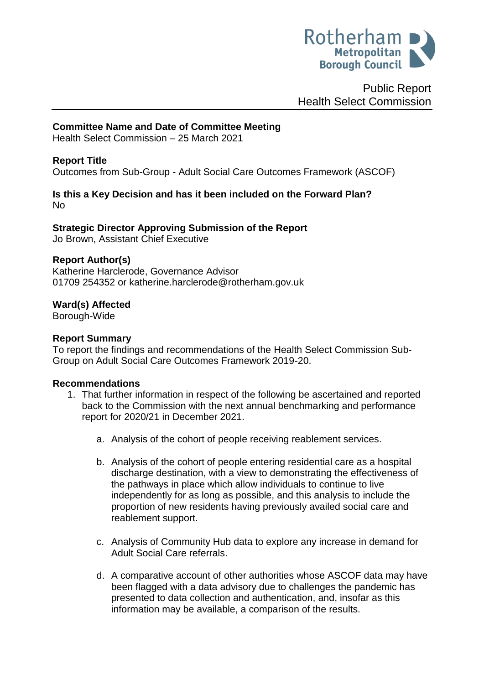

Public Report Health Select Commission

### **Committee Name and Date of Committee Meeting**

Health Select Commission – 25 March 2021

### **Report Title**

Outcomes from Sub-Group - Adult Social Care Outcomes Framework (ASCOF)

#### **Is this a Key Decision and has it been included on the Forward Plan?**  No

# **Strategic Director Approving Submission of the Report**

Jo Brown, Assistant Chief Executive

#### **Report Author(s)**

<span id="page-0-0"></span>Katherine Harclerode, Governance Advisor 01709 254352 or katherine.harclerode@rotherham.gov.uk

### **Ward(s) Affected**

Borough-Wide

### **Report Summary**

To report the findings and recommendations of the Health Select Commission Sub-Group on Adult Social Care Outcomes Framework 2019-20.

#### **Recommendations**

- 1. That further information in respect of the following be ascertained and reported back to the Commission with the next annual benchmarking and performance report for 2020/21 in December 2021.
	- a. Analysis of the cohort of people receiving reablement services.
	- b. Analysis of the cohort of people entering residential care as a hospital discharge destination, with a view to demonstrating the effectiveness of the pathways in place which allow individuals to continue to live independently for as long as possible, and this analysis to include the proportion of new residents having previously availed social care and reablement support.
	- c. Analysis of Community Hub data to explore any increase in demand for Adult Social Care referrals.
	- d. A comparative account of other authorities whose ASCOF data may have been flagged with a data advisory due to challenges the pandemic has presented to data collection and authentication, and, insofar as this information may be available, a comparison of the results.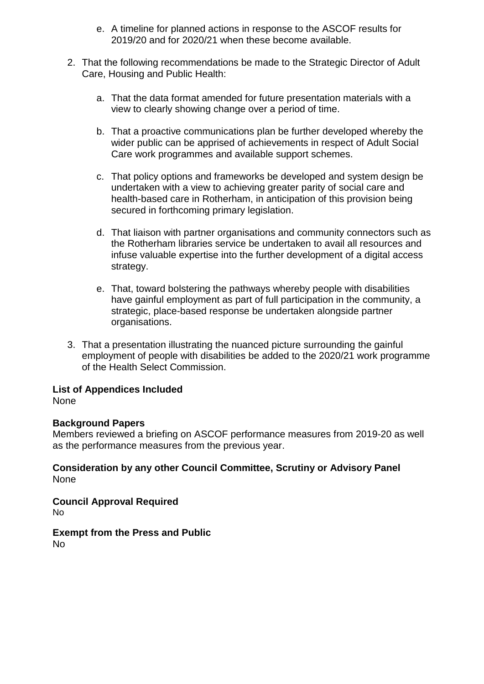- e. A timeline for planned actions in response to the ASCOF results for 2019/20 and for 2020/21 when these become available.
- 2. That the following recommendations be made to the Strategic Director of Adult Care, Housing and Public Health:
	- a. That the data format amended for future presentation materials with a view to clearly showing change over a period of time.
	- b. That a proactive communications plan be further developed whereby the wider public can be apprised of achievements in respect of Adult Social Care work programmes and available support schemes.
	- c. That policy options and frameworks be developed and system design be undertaken with a view to achieving greater parity of social care and health-based care in Rotherham, in anticipation of this provision being secured in forthcoming primary legislation.
	- d. That liaison with partner organisations and community connectors such as the Rotherham libraries service be undertaken to avail all resources and infuse valuable expertise into the further development of a digital access strategy.
	- e. That, toward bolstering the pathways whereby people with disabilities have gainful employment as part of full participation in the community, a strategic, place-based response be undertaken alongside partner organisations.
- 3. That a presentation illustrating the nuanced picture surrounding the gainful employment of people with disabilities be added to the 2020/21 work programme of the Health Select Commission.

# **List of Appendices Included**

None

# **Background Papers**

Members reviewed a briefing on ASCOF performance measures from 2019-20 as well as the performance measures from the previous year.

**Consideration by any other Council Committee, Scrutiny or Advisory Panel** None

**Council Approval Required** No

**Exempt from the Press and Public** No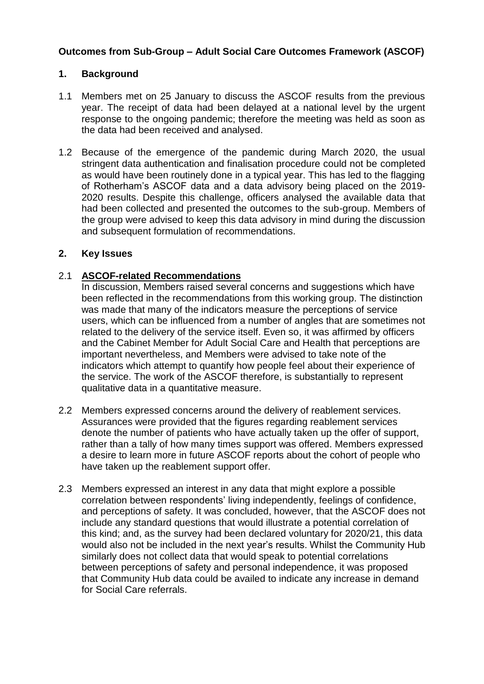# **Outcomes from Sub-Group – Adult Social Care Outcomes Framework (ASCOF)**

### **1. Background**

- 1.1 Members met on 25 January to discuss the ASCOF results from the previous year. The receipt of data had been delayed at a national level by the urgent response to the ongoing pandemic; therefore the meeting was held as soon as the data had been received and analysed.
- 1.2 Because of the emergence of the pandemic during March 2020, the usual stringent data authentication and finalisation procedure could not be completed as would have been routinely done in a typical year. This has led to the flagging of Rotherham's ASCOF data and a data advisory being placed on the 2019- 2020 results. Despite this challenge, officers analysed the available data that had been collected and presented the outcomes to the sub-group. Members of the group were advised to keep this data advisory in mind during the discussion and subsequent formulation of recommendations.

### **2. Key Issues**

### 2.1 **ASCOF-related Recommendations**

In discussion, Members raised several concerns and suggestions which have been reflected in the recommendations from this working group. The distinction was made that many of the indicators measure the perceptions of service users, which can be influenced from a number of angles that are sometimes not related to the delivery of the service itself. Even so, it was affirmed by officers and the Cabinet Member for Adult Social Care and Health that perceptions are important nevertheless, and Members were advised to take note of the indicators which attempt to quantify how people feel about their experience of the service. The work of the ASCOF therefore, is substantially to represent qualitative data in a quantitative measure.

- 2.2 Members expressed concerns around the delivery of reablement services. Assurances were provided that the figures regarding reablement services denote the number of patients who have actually taken up the offer of support, rather than a tally of how many times support was offered. Members expressed a desire to learn more in future ASCOF reports about the cohort of people who have taken up the reablement support offer.
- 2.3 Members expressed an interest in any data that might explore a possible correlation between respondents' living independently, feelings of confidence, and perceptions of safety. It was concluded, however, that the ASCOF does not include any standard questions that would illustrate a potential correlation of this kind; and, as the survey had been declared voluntary for 2020/21, this data would also not be included in the next year's results. Whilst the Community Hub similarly does not collect data that would speak to potential correlations between perceptions of safety and personal independence, it was proposed that Community Hub data could be availed to indicate any increase in demand for Social Care referrals.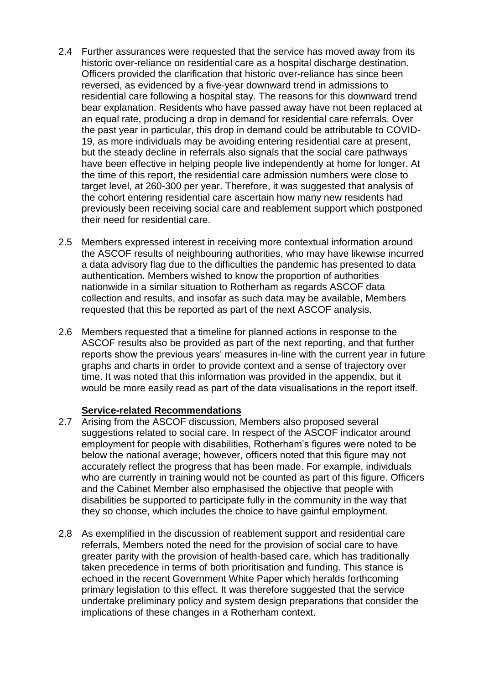- 2.4 Further assurances were requested that the service has moved away from its historic over-reliance on residential care as a hospital discharge destination. Officers provided the clarification that historic over-reliance has since been reversed, as evidenced by a five-year downward trend in admissions to residential care following a hospital stay. The reasons for this downward trend bear explanation. Residents who have passed away have not been replaced at an equal rate, producing a drop in demand for residential care referrals. Over the past year in particular, this drop in demand could be attributable to COVID-19, as more individuals may be avoiding entering residential care at present, but the steady decline in referrals also signals that the social care pathways have been effective in helping people live independently at home for longer. At the time of this report, the residential care admission numbers were close to target level, at 260-300 per year. Therefore, it was suggested that analysis of the cohort entering residential care ascertain how many new residents had previously been receiving social care and reablement support which postponed their need for residential care.
- 2.5 Members expressed interest in receiving more contextual information around the ASCOF results of neighbouring authorities, who may have likewise incurred a data advisory flag due to the difficulties the pandemic has presented to data authentication. Members wished to know the proportion of authorities nationwide in a similar situation to Rotherham as regards ASCOF data collection and results, and insofar as such data may be available, Members requested that this be reported as part of the next ASCOF analysis.
- 2.6 Members requested that a timeline for planned actions in response to the ASCOF results also be provided as part of the next reporting, and that further reports show the previous years' measures in-line with the current year in future graphs and charts in order to provide context and a sense of trajectory over time. It was noted that this information was provided in the appendix, but it would be more easily read as part of the data visualisations in the report itself.

### **Service-related Recommendations**

- 2.7 Arising from the ASCOF discussion, Members also proposed several suggestions related to social care. In respect of the ASCOF indicator around employment for people with disabilities, Rotherham's figures were noted to be below the national average; however, officers noted that this figure may not accurately reflect the progress that has been made. For example, individuals who are currently in training would not be counted as part of this figure. Officers and the Cabinet Member also emphasised the objective that people with disabilities be supported to participate fully in the community in the way that they so choose, which includes the choice to have gainful employment.
- 2.8 As exemplified in the discussion of reablement support and residential care referrals, Members noted the need for the provision of social care to have greater parity with the provision of health-based care, which has traditionally taken precedence in terms of both prioritisation and funding. This stance is echoed in the recent Government White Paper which heralds forthcoming primary legislation to this effect. It was therefore suggested that the service undertake preliminary policy and system design preparations that consider the implications of these changes in a Rotherham context.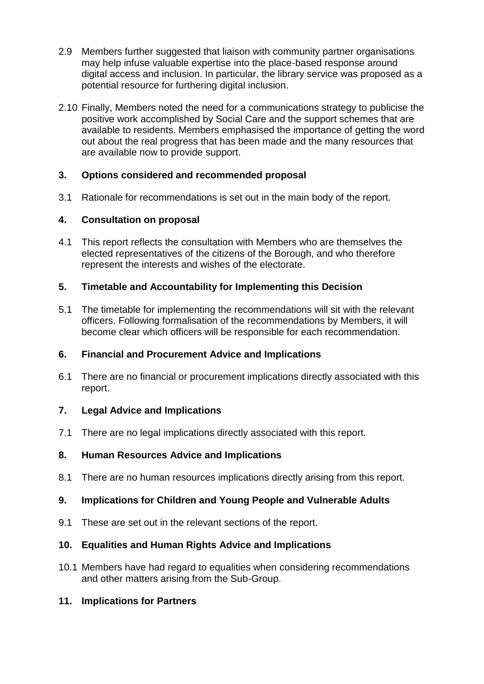- 2.9 Members further suggested that liaison with community partner organisations may help infuse valuable expertise into the place-based response around digital access and inclusion. In particular, the library service was proposed as a potential resource for furthering digital inclusion.
- 2.10 Finally, Members noted the need for a communications strategy to publicise the positive work accomplished by Social Care and the support schemes that are available to residents. Members emphasised the importance of getting the word out about the real progress that has been made and the many resources that are available now to provide support.

# **3. Options considered and recommended proposal**

3.1 Rationale for recommendations is set out in the main body of the report.

# **4. Consultation on proposal**

4.1 This report reflects the consultation with Members who are themselves the elected representatives of the citizens of the Borough, and who therefore represent the interests and wishes of the electorate.

### **5. Timetable and Accountability for Implementing this Decision**

5.1 The timetable for implementing the recommendations will sit with the relevant officers. Following formalisation of the recommendations by Members, it will become clear which officers will be responsible for each recommendation.

# **6. Financial and Procurement Advice and Implications**

6.1 There are no financial or procurement implications directly associated with this report.

# **7. Legal Advice and Implications**

7.1 There are no legal implications directly associated with this report.

# **8. Human Resources Advice and Implications**

8.1 There are no human resources implications directly arising from this report.

# **9. Implications for Children and Young People and Vulnerable Adults**

9.1 These are set out in the relevant sections of the report.

### **10. Equalities and Human Rights Advice and Implications**

10.1 Members have had regard to equalities when considering recommendations and other matters arising from the Sub-Group.

### **11. Implications for Partners**